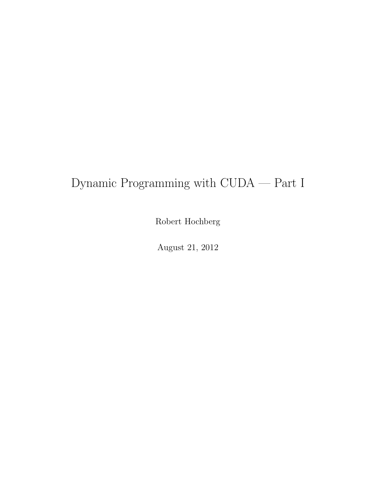# Dynamic Programming with CUDA — Part I

Robert Hochberg

August 21, 2012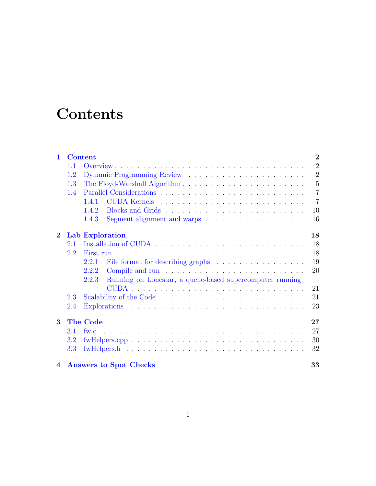# **Contents**

| $\mathbf{1}$   | <b>Content</b> |                                                                                  | $\overline{2}$ |
|----------------|----------------|----------------------------------------------------------------------------------|----------------|
|                | 1.1            |                                                                                  | $\overline{2}$ |
|                | 1.2            |                                                                                  | $\overline{2}$ |
|                | 1.3            |                                                                                  | $\overline{5}$ |
|                | 1.4            |                                                                                  | $\overline{7}$ |
|                |                | 141                                                                              | $\overline{7}$ |
|                |                | 1.4.2                                                                            | 10             |
|                |                | Segment alignment and warps $\dots \dots \dots \dots \dots \dots \dots$<br>1.4.3 | 16             |
| $\mathbf 2$    |                | Lab Exploration                                                                  | 18             |
|                | 2.1            |                                                                                  | 18             |
|                | 2.2            |                                                                                  | 18             |
|                |                | 2.2.1                                                                            | 19             |
|                |                | 2.2.2                                                                            | 20             |
|                |                | Running on Lonestar, a queue-based supercomputer running<br>2.2.3                |                |
|                |                |                                                                                  | 21             |
|                | 2.3            |                                                                                  | 21             |
|                | 2.4            |                                                                                  | 23             |
| $\bf{3}$       |                | <b>The Code</b>                                                                  | $27\,$         |
|                | 3.1            | $f_{W,C}$                                                                        | 27             |
|                | 3.2            | $fwHelpers.cpp$                                                                  | 30             |
|                | 3.3            |                                                                                  | 32             |
| $\overline{4}$ |                | <b>Answers to Spot Checks</b>                                                    | 33             |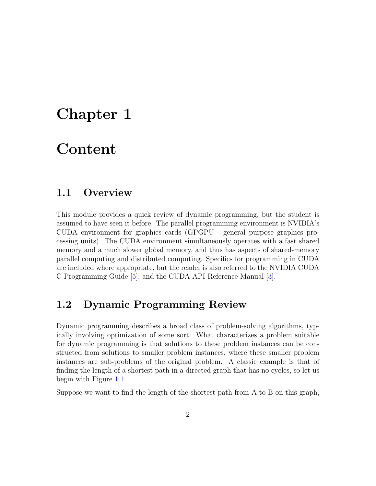## <span id="page-2-0"></span>Chapter 1

## Content

### <span id="page-2-1"></span>1.1 Overview

This module provides a quick review of dynamic programming, but the student is assumed to have seen it before. The parallel programming environment is NVIDIA's CUDA environment for graphics cards (GPGPU - general purpose graphics processing units). The CUDA environment simultaneously operates with a fast shared memory and a much slower global memory, and thus has aspects of shared-memory parallel computing and distributed computing. Specifics for programming in CUDA are included where appropriate, but the reader is also referred to the NVIDIA CUDA C Programming Guide [\[5\]](#page-36-0), and the CUDA API Reference Manual [\[3\]](#page-36-1).

### <span id="page-2-2"></span>1.2 Dynamic Programming Review

Dynamic programming describes a broad class of problem-solving algorithms, typically involving optimization of some sort. What characterizes a problem suitable for dynamic programming is that solutions to these problem instances can be constructed from solutions to smaller problem instances, where these smaller problem instances are sub-problems of the original problem. A classic example is that of finding the length of a shortest path in a directed graph that has no cycles, so let us begin with Figure [1.1.](#page-3-0)

Suppose we want to find the length of the shortest path from A to B on this graph,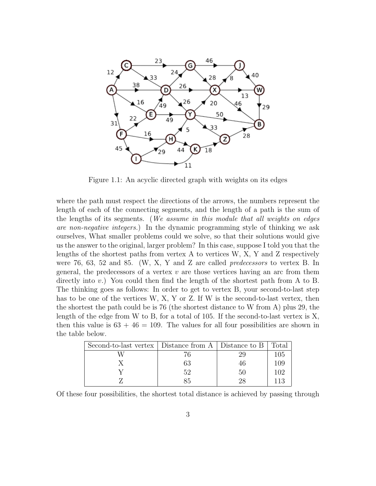

<span id="page-3-0"></span>Figure 1.1: An acyclic directed graph with weights on its edges

where the path must respect the directions of the arrows, the numbers represent the length of each of the connecting segments, and the length of a path is the sum of the lengths of its segments. (We assume in this module that all weights on edges are non-negative integers.) In the dynamic programming style of thinking we ask ourselves, What smaller problems could we solve, so that their solutions would give us the answer to the original, larger problem? In this case, suppose I told you that the lengths of the shortest paths from vertex A to vertices W, X, Y and Z respectively were 76, 63, 52 and 85. (W, X, Y and Z are called predecessors to vertex B. In general, the predecessors of a vertex  $v$  are those vertices having an arc from them directly into  $v$ .) You could then find the length of the shortest path from A to B. The thinking goes as follows: In order to get to vertex B, your second-to-last step has to be one of the vertices W, X, Y or Z. If W is the second-to-last vertex, then the shortest the path could be is 76 (the shortest distance to W from A) plus 29, the length of the edge from W to B, for a total of 105. If the second-to-last vertex is X, then this value is  $63 + 46 = 109$ . The values for all four possibilities are shown in the table below.

| Second-to-last vertex   Distance from A   Distance to B   Total |    |    |     |
|-----------------------------------------------------------------|----|----|-----|
|                                                                 |    |    | 105 |
|                                                                 | 63 | 46 | 109 |
|                                                                 | 59 | 50 | 102 |
|                                                                 |    | າຂ |     |

Of these four possibilities, the shortest total distance is achieved by passing through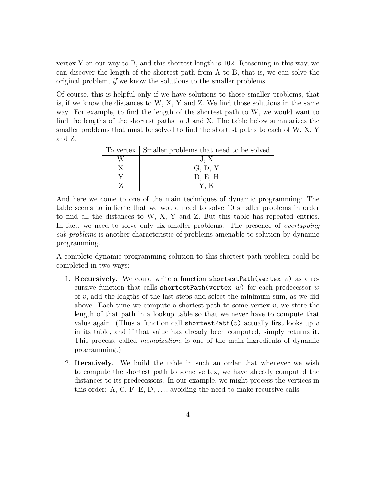vertex Y on our way to B, and this shortest length is 102. Reasoning in this way, we can discover the length of the shortest path from A to B, that is, we can solve the original problem, if we know the solutions to the smaller problems.

Of course, this is helpful only if we have solutions to those smaller problems, that is, if we know the distances to W, X, Y and Z. We find those solutions in the same way. For example, to find the length of the shortest path to W, we would want to find the lengths of the shortest paths to J and X. The table below summarizes the smaller problems that must be solved to find the shortest paths to each of W, X, Y and Z.

| To vertex Smaller problems that need to be solved |
|---------------------------------------------------|
| J. X                                              |
| G, D, Y                                           |
| D, E, H                                           |
| YК                                                |

And here we come to one of the main techniques of dynamic programming: The table seems to indicate that we would need to solve 10 smaller problems in order to find all the distances to W, X, Y and Z. But this table has repeated entries. In fact, we need to solve only six smaller problems. The presence of *overlapping* sub-problems is another characteristic of problems amenable to solution by dynamic programming.

A complete dynamic programming solution to this shortest path problem could be completed in two ways:

- 1. Recursively. We could write a function shortest Path (vertex  $v$ ) as a recursive function that calls shortestPath(vertex w) for each predecessor w of  $v$ , add the lengths of the last steps and select the minimum sum, as we did above. Each time we compute a shortest path to some vertex  $v$ , we store the length of that path in a lookup table so that we never have to compute that value again. (Thus a function call shortest Path $(v)$  actually first looks up v in its table, and if that value has already been computed, simply returns it. This process, called *memoization*, is one of the main ingredients of dynamic programming.)
- 2. Iteratively. We build the table in such an order that whenever we wish to compute the shortest path to some vertex, we have already computed the distances to its predecessors. In our example, we might process the vertices in this order: A, C, F, E, D,  $\dots$ , avoiding the need to make recursive calls.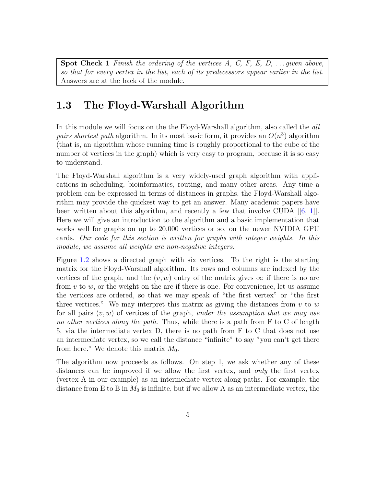**Spot Check 1** Finish the ordering of the vertices  $A, C, F, E, D, \ldots$  given above, so that for every vertex in the list, each of its predecessors appear earlier in the list. Answers are at the back of the module.

## <span id="page-5-0"></span>1.3 The Floyd-Warshall Algorithm

In this module we will focus on the the Floyd-Warshall algorithm, also called the all pairs shortest path algorithm. In its most basic form, it provides an  $O(n^3)$  algorithm (that is, an algorithm whose running time is roughly proportional to the cube of the number of vertices in the graph) which is very easy to program, because it is so easy to understand.

The Floyd-Warshall algorithm is a very widely-used graph algorithm with applications in scheduling, bioinformatics, routing, and many other areas. Any time a problem can be expressed in terms of distances in graphs, the Floyd-Warshall algorithm may provide the quickest way to get an answer. Many academic papers have been written about this algorithm, and recently a few that involve CUDA  $[6, 1]$  $[6, 1]$  $[6, 1]$ . Here we will give an introduction to the algorithm and a basic implementation that works well for graphs on up to 20,000 vertices or so, on the newer NVIDIA GPU cards. Our code for this section is written for graphs with integer weights. In this module, we assume all weights are non-negative integers.

Figure [1.2](#page-6-0) shows a directed graph with six vertices. To the right is the starting matrix for the Floyd-Warshall algorithm. Its rows and columns are indexed by the vertices of the graph, and the  $(v, w)$  entry of the matrix gives  $\infty$  if there is no arc from  $v$  to  $w$ , or the weight on the arc if there is one. For convenience, let us assume the vertices are ordered, so that we may speak of "the first vertex" or "the first three vertices." We may interpret this matrix as giving the distances from  $v$  to  $w$ for all pairs  $(v, w)$  of vertices of the graph, under the assumption that we may use no other vertices along the path. Thus, while there is a path from  $F$  to  $C$  of length 5, via the intermediate vertex D, there is no path from F to C that does not use an intermediate vertex, so we call the distance "infinite" to say "you can't get there from here." We denote this matrix  $M_0$ .

The algorithm now proceeds as follows. On step 1, we ask whether any of these distances can be improved if we allow the first vertex, and only the first vertex (vertex A in our example) as an intermediate vertex along paths. For example, the distance from E to B in  $M_0$  is infinite, but if we allow A as an intermediate vertex, the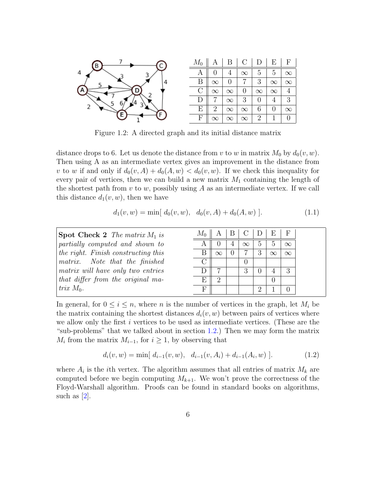

<span id="page-6-0"></span>Figure 1.2: A directed graph and its initial distance matrix

distance drops to 6. Let us denote the distance from v to w in matrix  $M_0$  by  $d_0(v, w)$ . Then using A as an intermediate vertex gives an improvement in the distance from v to w if and only if  $d_0(v, A) + d_0(A, w) < d_0(v, w)$ . If we check this inequality for every pair of vertices, then we can build a new matrix  $M_1$  containing the length of the shortest path from  $v$  to  $w$ , possibly using  $A$  as an intermediate vertex. If we call this distance  $d_1(v, w)$ , then we have

$$
d_1(v, w) = \min[ d_0(v, w), d_0(v, A) + d_0(A, w)]. \tag{1.1}
$$

| <b>Spot Check 2</b> The matrix $M_1$ is | $M_0$ |   | B. |          |               | D E F           |          |
|-----------------------------------------|-------|---|----|----------|---------------|-----------------|----------|
| partially computed and shown to         |       |   |    | $\infty$ | $\mathcal{D}$ | $\ddot{\Omega}$ | $\infty$ |
| the right. Finish constructing this     |       |   |    |          |               | $\propto$       | $\infty$ |
| matrix. Note that the finished          |       |   |    |          |               |                 |          |
| matrix will have only two entries       |       |   |    |          |               |                 |          |
| that differ from the original ma-       | E     | റ |    |          |               |                 |          |
| trix $M_0$ .                            | F     |   |    |          |               |                 |          |

In general, for  $0 \leq i \leq n$ , where *n* is the number of vertices in the graph, let  $M_i$  be the matrix containing the shortest distances  $d_i(v, w)$  between pairs of vertices where we allow only the first  $i$  vertices to be used as intermediate vertices. (These are the "sub-problems" that we talked about in section [1.2.](#page-2-2)) Then we may form the matrix  $M_i$  from the matrix  $M_{i-1}$ , for  $i \geq 1$ , by observing that

<span id="page-6-1"></span>
$$
d_i(v, w) = \min[ d_{i-1}(v, w), d_{i-1}(v, A_i) + d_{i-1}(A_i, w)]. \tag{1.2}
$$

where  $A_i$  is the *i*th vertex. The algorithm assumes that all entries of matrix  $M_k$  are computed before we begin computing  $M_{k+1}$ . We won't prove the correctness of the Floyd-Warshall algorithm. Proofs can be found in standard books on algorithms, such as [\[2\]](#page-36-4).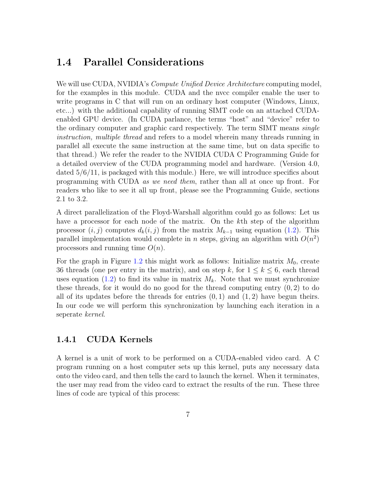### <span id="page-7-0"></span>1.4 Parallel Considerations

We will use CUDA, NVIDIA's *Compute Unified Device Architecture* computing model, for the examples in this module. CUDA and the nvcc compiler enable the user to write programs in C that will run on an ordinary host computer (Windows, Linux, etc...) with the additional capability of running SIMT code on an attached CUDAenabled GPU device. (In CUDA parlance, the terms "host" and "device" refer to the ordinary computer and graphic card respectively. The term SIMT means single instruction, multiple thread and refers to a model wherein many threads running in parallel all execute the same instruction at the same time, but on data specific to that thread.) We refer the reader to the NVIDIA CUDA C Programming Guide for a detailed overview of the CUDA programming model and hardware. (Version 4.0, dated 5/6/11, is packaged with this module.) Here, we will introduce specifics about programming with CUDA as we need them, rather than all at once up front. For readers who like to see it all up front, please see the Programming Guide, sections 2.1 to 3.2.

A direct parallelization of the Floyd-Warshall algorithm could go as follows: Let us have a processor for each node of the matrix. On the k<sup>th</sup> step of the algorithm processor  $(i, j)$  computes  $d_k(i, j)$  from the matrix  $M_{k-1}$  using equation [\(1.2\)](#page-6-1). This parallel implementation would complete in *n* steps, giving an algorithm with  $O(n^2)$ processors and running time  $O(n)$ .

For the graph in Figure [1.2](#page-6-0) this might work as follows: Initialize matrix  $M_0$ , create 36 threads (one per entry in the matrix), and on step k, for  $1 \leq k \leq 6$ , each thread uses equation [\(1.2\)](#page-6-1) to find its value in matrix  $M_k$ . Note that we must synchronize these threads, for it would do no good for the thread computing entry  $(0, 2)$  to do all of its updates before the threads for entries  $(0, 1)$  and  $(1, 2)$  have begun theirs. In our code we will perform this synchronization by launching each iteration in a seperate kernel.

#### <span id="page-7-1"></span>1.4.1 CUDA Kernels

A kernel is a unit of work to be performed on a CUDA-enabled video card. A C program running on a host computer sets up this kernel, puts any necessary data onto the video card, and then tells the card to launch the kernel. When it terminates, the user may read from the video card to extract the results of the run. These three lines of code are typical of this process: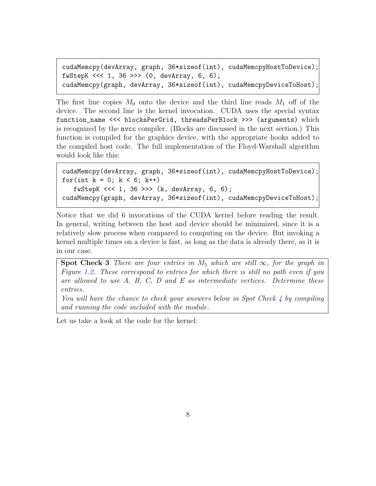```
cudaMemcpy(devArray, graph, 36*sizeof(int), cudaMemcpyHostToDevice);
fwStepK <<< 1, 36 >>> (0, devArray, 6, 6);
cudaMemcpy(graph, devArray, 36*sizeof(int), cudaMemcpyDeviceToHost);
```
The first line copies  $M_0$  onto the device and the third line reads  $M_1$  off of the device. The second line is the kernel invocation. CUDA uses the special syntax function\_name <<< blocksPerGrid, threadsPerBlock >>> (arguments) which is recognized by the nvcc compiler. (Blocks are discussed in the next section.) This function is compiled for the graphics device, with the appropriate hooks added to the compiled host code. The full implementation of the Floyd-Warshall algorithm would look like this:

```
cudaMemcpy(devArray, graph, 36*sizeof(int), cudaMemcpyHostToDevice);
for(int k = 0; k < 6; k^{++})
   fwStepK <<< 1, 36 >>> (k, devArray, 6, 6);
cudaMemcpy(graph, devArray, 36*sizeof(int), cudaMemcpyDeviceToHost);
```
Notice that we did 6 invocations of the CUDA kernel before reading the result. In general, writing between the host and device should be minimized, since it is a relatively slow process when compared to computing on the device. But invoking a kernel multiple times on a device is fast, as long as the data is already there, as it is in our case.

<span id="page-8-0"></span>Spot Check 3 There are four entries in  $M_5$  which are still  $\infty$ , for the graph in Figure [1.2.](#page-6-0) These correspond to entries for which there is still no path even if you are allowed to use  $A$ ,  $B$ ,  $C$ ,  $D$  and  $E$  as intermediate vertices. Determine these entries.

You will have the chance to check your answers below in Spot Check  $\downarrow$  by compiling and running the code included with the module.

Let us take a look at the code for the kernel: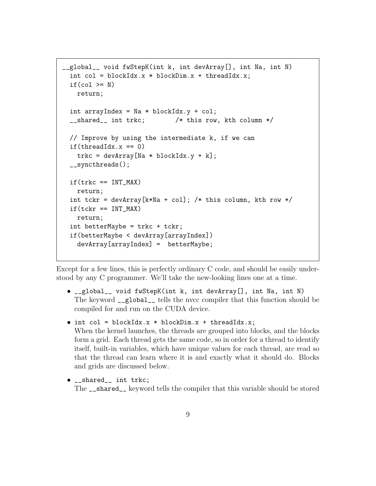```
__global__ void fwStepK(int k, int devArray[], int Na, int N)
  int col = blockIdx.x * blockDim.x + threadIdx.x;if(col \ge N)return;
 int arrayIndex = Na * blockIdx.y + col;__shared__ int trkc; /* this row, kth column */
 // Improve by using the intermediate k, if we can
 if(threadIdx.x == 0)trkc = devArray [Na * blockIdx.y + k];__syncthreads();
 if(trkc == INT_MAX)
   return;
 int tckr = devArray[k*Na + col]; /* this column, kth row */
 if(tckr == INT_MAX)return;
 int betterMaybe = trkc + tckr;
 if(betterMaybe < devArray[arrayIndex])
   devArray[arrayIndex] = betterMaybe;
```
Except for a few lines, this is perfectly ordinary C code, and should be easily understood by any C programmer. We'll take the new-looking lines one at a time.

- \_\_global\_\_ void fwStepK(int k, int devArray[], int Na, int N) The keyword \_\_global\_\_ tells the nvcc compiler that this function should be compiled for and run on the CUDA device.
- $\bullet$  int col = blockIdx.x \* blockDim.x + threadIdx.x; When the kernel launches, the threads are grouped into blocks, and the blocks form a grid. Each thread gets the same code, so in order for a thread to identify itself, built-in variables, which have unique values for each thread, are read so that the thread can learn where it is and exactly what it should do. Blocks and grids are discussed below.
- \_\_shared\_\_ int trkc; The \_\_shared\_\_ keyword tells the compiler that this variable should be stored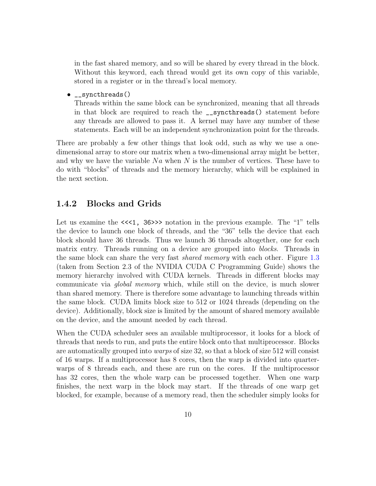in the fast shared memory, and so will be shared by every thread in the block. Without this keyword, each thread would get its own copy of this variable, stored in a register or in the thread's local memory.

• \_\_syncthreads()

Threads within the same block can be synchronized, meaning that all threads in that block are required to reach the \_\_syncthreads() statement before any threads are allowed to pass it. A kernel may have any number of these statements. Each will be an independent synchronization point for the threads.

There are probably a few other things that look odd, such as why we use a onedimensional array to store our matrix when a two-dimensional array might be better, and why we have the variable  $Na$  when N is the number of vertices. These have to do with "blocks" of threads and the memory hierarchy, which will be explained in the next section.

#### <span id="page-10-0"></span>1.4.2 Blocks and Grids

Let us examine the  $\ll 1$ ,  $36 \gg$  notation in the previous example. The "1" tells the device to launch one block of threads, and the "36" tells the device that each block should have 36 threads. Thus we launch 36 threads altogether, one for each matrix entry. Threads running on a device are grouped into *blocks*. Threads in the same block can share the very fast *shared memory* with each other. Figure [1.3](#page-11-0) (taken from Section 2.3 of the NVIDIA CUDA C Programming Guide) shows the memory hierarchy involved with CUDA kernels. Threads in different blocks may communicate via global memory which, while still on the device, is much slower than shared memory. There is therefore some advantage to launching threads within the same block. CUDA limits block size to 512 or 1024 threads (depending on the device). Additionally, block size is limited by the amount of shared memory available on the device, and the amount needed by each thread.

When the CUDA scheduler sees an available multiprocessor, it looks for a block of threads that needs to run, and puts the entire block onto that multiprocessor. Blocks are automatically grouped into warps of size 32, so that a block of size 512 will consist of 16 warps. If a multiprocessor has 8 cores, then the warp is divided into quarterwarps of 8 threads each, and these are run on the cores. If the multiprocessor has 32 cores, then the whole warp can be processed together. When one warp finishes, the next warp in the block may start. If the threads of one warp get blocked, for example, because of a memory read, then the scheduler simply looks for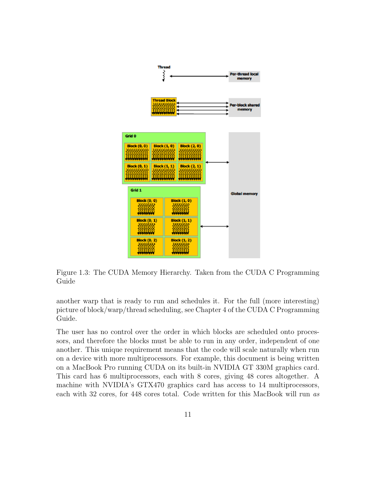

<span id="page-11-0"></span>Figure 1.3: The CUDA Memory Hierarchy. Taken from the CUDA C Programming Guide

another warp that is ready to run and schedules it. For the full (more interesting) picture of block/warp/thread scheduling, see Chapter 4 of the CUDA C Programming Guide.

The user has no control over the order in which blocks are scheduled onto processors, and therefore the blocks must be able to run in any order, independent of one another. This unique requirement means that the code will scale naturally when run on a device with more multiprocessors. For example, this document is being written on a MacBook Pro running CUDA on its built-in NVIDIA GT 330M graphics card. This card has 6 multiprocessors, each with 8 cores, giving 48 cores altogether. A machine with NVIDIA's GTX470 graphics card has access to 14 multiprocessors, each with 32 cores, for 448 cores total. Code written for this MacBook will run as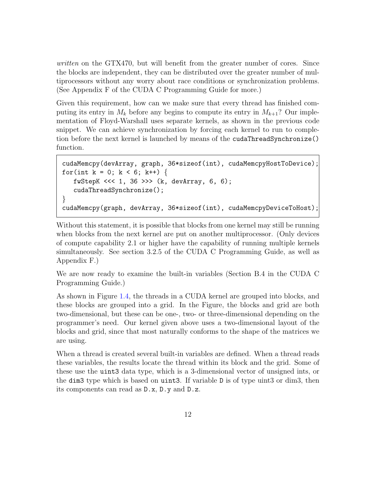written on the GTX470, but will benefit from the greater number of cores. Since the blocks are independent, they can be distributed over the greater number of multiprocessors without any worry about race conditions or synchronization problems. (See Appendix F of the CUDA C Programming Guide for more.)

Given this requirement, how can we make sure that every thread has finished computing its entry in  $M_k$  before any begins to compute its entry in  $M_{k+1}$ ? Our implementation of Floyd-Warshall uses separate kernels, as shown in the previous code snippet. We can achieve synchronization by forcing each kernel to run to completion before the next kernel is launched by means of the cudaThreadSynchronize() function.

```
cudaMemcpy(devArray, graph, 36*sizeof(int), cudaMemcpyHostToDevice);
for(int k = 0; k < 6; k++) {
  fwStepK <<< 1, 36 >>> (k, devArray, 6, 6);
  cudaThreadSynchronize();
}
cudaMemcpy(graph, devArray, 36*sizeof(int), cudaMemcpyDeviceToHost);
```
Without this statement, it is possible that blocks from one kernel may still be running when blocks from the next kernel are put on another multiprocessor. (Only devices of compute capability 2.1 or higher have the capability of running multiple kernels simultaneously. See section 3.2.5 of the CUDA C Programming Guide, as well as Appendix F.)

We are now ready to examine the built-in variables (Section B.4 in the CUDA C Programming Guide.)

As shown in Figure [1.4,](#page-13-0) the threads in a CUDA kernel are grouped into blocks, and these blocks are grouped into a grid. In the Figure, the blocks and grid are both two-dimensional, but these can be one-, two- or three-dimensional depending on the programmer's need. Our kernel given above uses a two-dimensional layout of the blocks and grid, since that most naturally conforms to the shape of the matrices we are using.

When a thread is created several built-in variables are defined. When a thread reads these variables, the results locate the thread within its block and the grid. Some of these use the uint3 data type, which is a 3-dimensional vector of unsigned ints, or the dim3 type which is based on uint3. If variable D is of type uint3 or dim3, then its components can read as D.x, D.y and D.z.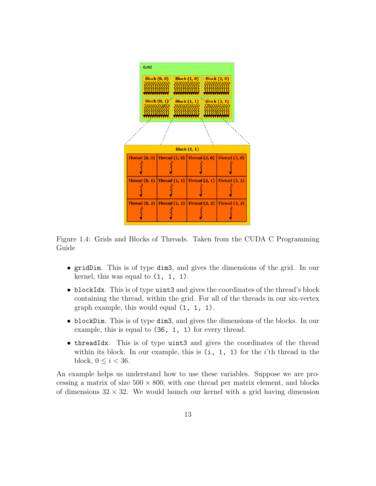

<span id="page-13-0"></span>Figure 1.4: Grids and Blocks of Threads. Taken from the CUDA C Programming Guide

- gridDim. This is of type dim3, and gives the dimensions of the grid. In our kernel, this was equal to  $(1, 1, 1)$ .
- blockIdx. This is of type uint3 and gives the coordinates of the thread's block containing the thread, within the grid. For all of the threads in our six-vertex graph example, this would equal (1, 1, 1).
- blockDim. This is of type dim3, and gives the dimensions of the blocks. In our example, this is equal to (36, 1, 1) for every thread.
- threadIdx. This is of type uint3 and gives the coordinates of the thread within its block. In our example, this is  $(i, 1, 1)$  for the *i*'th thread in the block,  $0 \leq i < 36$ .

An example helps us understand how to use these variables. Suppose we are processing a matrix of size  $500 \times 800$ , with one thread per matrix element, and blocks of dimensions  $32 \times 32$ . We would launch our kernel with a grid having dimension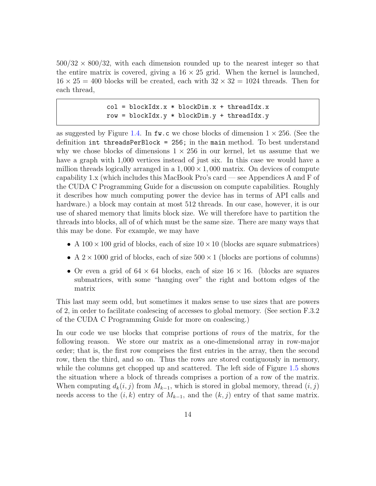$500/32 \times 800/32$ , with each dimension rounded up to the nearest integer so that the entire matrix is covered, giving a  $16 \times 25$  grid. When the kernel is launched,  $16 \times 25 = 400$  blocks will be created, each with  $32 \times 32 = 1024$  threads. Then for each thread,

```
col = blockIdx.x * blockDim.x + threadIdx.xrow = blockIdx.y * blockDim.y + threadIdx.y
```
as suggested by Figure [1.4.](#page-13-0) In fw.c we chose blocks of dimension  $1 \times 256$ . (See the definition int threadsPerBlock = 256; in the main method. To best understand why we chose blocks of dimensions  $1 \times 256$  in our kernel, let us assume that we have a graph with 1,000 vertices instead of just six. In this case we would have a million threads logically arranged in a  $1,000 \times 1,000$  matrix. On devices of compute capability 1.x (which includes this MacBook Pro's card — see Appendices A and F of the CUDA C Programming Guide for a discussion on compute capabilities. Roughly it describes how much computing power the device has in terms of API calls and hardware.) a block may contain at most 512 threads. In our case, however, it is our use of shared memory that limits block size. We will therefore have to partition the threads into blocks, all of of which must be the same size. There are many ways that this may be done. For example, we may have

- A  $100 \times 100$  grid of blocks, each of size  $10 \times 10$  (blocks are square submatrices)
- A  $2 \times 1000$  grid of blocks, each of size  $500 \times 1$  (blocks are portions of columns)
- Or even a grid of  $64 \times 64$  blocks, each of size  $16 \times 16$ . (blocks are squares submatrices, with some "hanging over" the right and bottom edges of the matrix

This last may seem odd, but sometimes it makes sense to use sizes that are powers of 2, in order to facilitate coalescing of accesses to global memory. (See section F.3.2 of the CUDA C Programming Guide for more on coalescing.)

In our code we use blocks that comprise portions of rows of the matrix, for the following reason. We store our matrix as a one-dimensional array in row-major order; that is, the first row comprises the first entries in the array, then the second row, then the third, and so on. Thus the rows are stored contiguously in memory, while the columns get chopped up and scattered. The left side of Figure [1.5](#page-15-0) shows the situation where a block of threads comprises a portion of a row of the matrix. When computing  $d_k(i, j)$  from  $M_{k-1}$ , which is stored in global memory, thread  $(i, j)$ needs access to the  $(i, k)$  entry of  $M_{k-1}$ , and the  $(k, j)$  entry of that same matrix.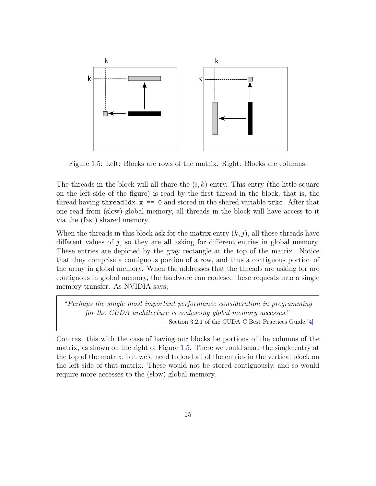

<span id="page-15-0"></span>Figure 1.5: Left: Blocks are rows of the matrix. Right: Blocks are columns.

The threads in the block will all share the  $(i, k)$  entry. This entry (the little square on the left side of the figure) is read by the first thread in the block, that is, the thread having  $threadIdx.x == 0$  and stored in the shared variable  $trkc$ . After that one read from (slow) global memory, all threads in the block will have access to it via the (fast) shared memory.

When the threads in this block ask for the matrix entry  $(k, j)$ , all those threads have different values of  $j$ , so they are all asking for different entries in global memory. These entries are depicted by the gray rectangle at the top of the matrix. Notice that they comprise a contiguous portion of a row, and thus a contiguous portion of the array in global memory. When the addresses that the threads are asking for are contiguous in global memory, the hardware can coalesce these requests into a single memory transfer. As NVIDIA says,

"Perhaps the single most important performance consideration in programming for the CUDA architecture is coalescing global memory accesses." —Section 3.2.1 of the CUDA C Best Practices Guide [\[4\]](#page-36-5)

Contrast this with the case of having our blocks be portions of the columns of the matrix, as shown on the right of Figure [1.5.](#page-15-0) There we could share the single entry at the top of the matrix, but we'd need to load all of the entries in the vertical block on the left side of that matrix. These would not be stored contiguously, and so would require more accesses to the (slow) global memory.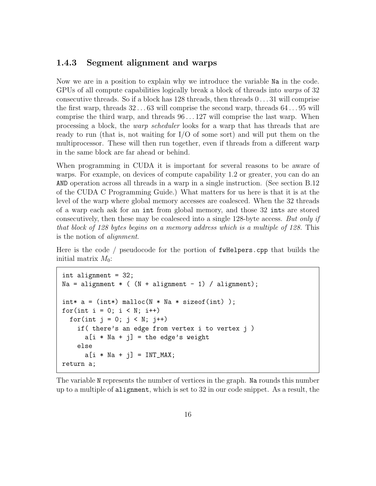#### <span id="page-16-0"></span>1.4.3 Segment alignment and warps

Now we are in a position to explain why we introduce the variable Na in the code. GPUs of all compute capabilities logically break a block of threads into warps of 32 consecutive threads. So if a block has 128 threads, then threads 0 . . . 31 will comprise the first warp, threads  $32 \dots 63$  will comprise the second warp, threads  $64 \dots 95$  will comprise the third warp, and threads 96 . . . 127 will comprise the last warp. When processing a block, the warp scheduler looks for a warp that has threads that are ready to run (that is, not waiting for I/O of some sort) and will put them on the multiprocessor. These will then run together, even if threads from a different warp in the same block are far ahead or behind.

When programming in CUDA it is important for several reasons to be aware of warps. For example, on devices of compute capability 1.2 or greater, you can do an AND operation across all threads in a warp in a single instruction. (See section B.12 of the CUDA C Programming Guide.) What matters for us here is that it is at the level of the warp where global memory accesses are coalesced. When the 32 threads of a warp each ask for an int from global memory, and those 32 ints are stored consecutively, then these may be coalesced into a single 128-byte access. But only if that block of 128 bytes begins on a memory address which is a multiple of 128. This is the notion of alignment.

Here is the code / pseudocode for the portion of fwHelpers.cpp that builds the initial matrix  $M_0$ :

```
int alignment = 32;
Na = alignment * ( (N + alignment - 1) / alignment);int* a = (int*) malloc(N * Na * sizeof(int) );
for(int i = 0; i < N; i++)for(int j = 0; j < N; j++)if( there's an edge from vertex i to vertex j )
      a[i * Na + j] = the edge's weightelse
      a[i * Na + j] = INT_MAX;return a;
```
The variable N represents the number of vertices in the graph. Na rounds this number up to a multiple of alignment, which is set to 32 in our code snippet. As a result, the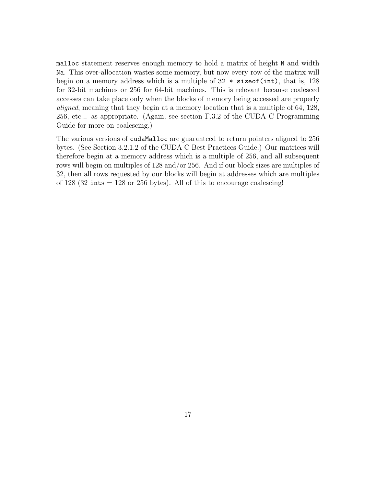malloc statement reserves enough memory to hold a matrix of height N and width Na. This over-allocation wastes some memory, but now every row of the matrix will begin on a memory address which is a multiple of 32 \* sizeof(int), that is, 128 for 32-bit machines or 256 for 64-bit machines. This is relevant because coalesced accesses can take place only when the blocks of memory being accessed are properly aligned, meaning that they begin at a memory location that is a multiple of 64, 128, 256, etc... as appropriate. (Again, see section F.3.2 of the CUDA C Programming Guide for more on coalescing.)

The various versions of cudaMalloc are guaranteed to return pointers aligned to 256 bytes. (See Section 3.2.1.2 of the CUDA C Best Practices Guide.) Our matrices will therefore begin at a memory address which is a multiple of 256, and all subsequent rows will begin on multiples of 128 and/or 256. And if our block sizes are multiples of 32, then all rows requested by our blocks will begin at addresses which are multiples of 128 (32 ints  $= 128$  or 256 bytes). All of this to encourage coalescing!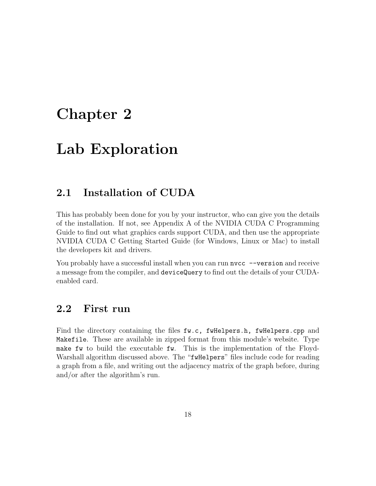## <span id="page-18-0"></span>Chapter 2

## Lab Exploration

## <span id="page-18-1"></span>2.1 Installation of CUDA

This has probably been done for you by your instructor, who can give you the details of the installation. If not, see Appendix A of the NVIDIA CUDA C Programming Guide to find out what graphics cards support CUDA, and then use the appropriate NVIDIA CUDA C Getting Started Guide (for Windows, Linux or Mac) to install the developers kit and drivers.

You probably have a successful install when you can run nvcc --version and receive a message from the compiler, and deviceQuery to find out the details of your CUDAenabled card.

## <span id="page-18-2"></span>2.2 First run

Find the directory containing the files fw.c, fwHelpers.h, fwHelpers.cpp and Makefile. These are available in zipped format from this module's website. Type make fw to build the executable fw. This is the implementation of the Floyd-Warshall algorithm discussed above. The "fwHelpers" files include code for reading a graph from a file, and writing out the adjacency matrix of the graph before, during and/or after the algorithm's run.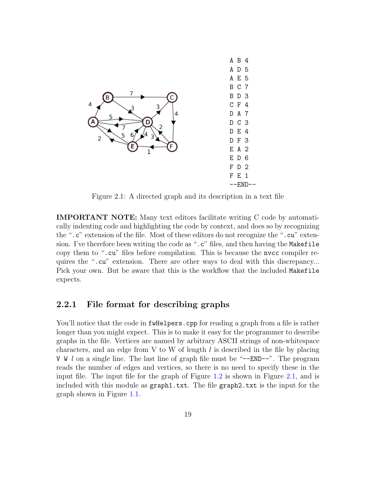

<span id="page-19-1"></span>Figure 2.1: A directed graph and its description in a text file

IMPORTANT NOTE: Many text editors facilitate writing C code by automatically indenting code and highlighting the code by context, and does so by recognizing the ".c" extension of the file. Most of these editors do not recognize the ".cu" extension. I've therefore been writing the code as ".c" files, and then having the Makefile copy them to ".cu" files before compilation. This is because the nvcc compiler requires the ".cu" extension. There are other ways to deal with this discrepancy... Pick your own. But be aware that this is the workflow that the included Makefile expects.

#### <span id="page-19-0"></span>2.2.1 File format for describing graphs

You'll notice that the code in **f**wHelpers.cpp for reading a graph from a file is rather longer than you might expect. This is to make it easy for the programmer to describe graphs in the file. Vertices are named by arbitrary ASCII strings of non-whitespace characters, and an edge from V to W of length  $l$  is described in the file by placing V W l on a single line. The last line of graph file must be " $-$ -END $-$ ". The program reads the number of edges and vertices, so there is no need to specify these in the input file. The input file for the graph of Figure [1.2](#page-6-0) is shown in Figure [2.1,](#page-19-1) and is included with this module as graph1.txt. The file graph2.txt is the input for the graph shown in Figure [1.1.](#page-3-0)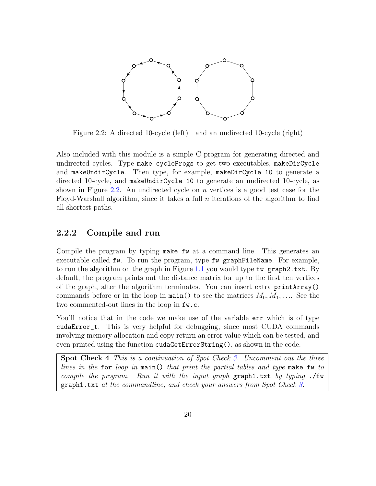

<span id="page-20-2"></span>Figure 2.2: A directed 10-cycle (left) and an undirected 10-cycle (right)

Also included with this module is a simple C program for generating directed and undirected cycles. Type make cycleProgs to get two executables, makeDirCycle and makeUndirCycle. Then type, for example, makeDirCycle 10 to generate a directed 10-cycle, and makeUndirCycle 10 to generate an undirected 10-cycle, as shown in Figure [2.2.](#page-20-2) An undirected cycle on n vertices is a good test case for the Floyd-Warshall algorithm, since it takes a full  $n$  iterations of the algorithm to find all shortest paths.

#### <span id="page-20-0"></span>2.2.2 Compile and run

Compile the program by typing make fw at a command line. This generates an executable called fw. To run the program, type fw graphFileName. For example, to run the algorithm on the graph in Figure [1.1](#page-3-0) you would type fw graph2.txt. By default, the program prints out the distance matrix for up to the first ten vertices of the graph, after the algorithm terminates. You can insert extra printArray() commands before or in the loop in main() to see the matrices  $M_0, M_1, \ldots$ . See the two commented-out lines in the loop in fw.c.

You'll notice that in the code we make use of the variable  $err$  which is of type cudaError\_t. This is very helpful for debugging, since most CUDA commands involving memory allocation and copy return an error value which can be tested, and even printed using the function cudaGetErrorString(), as shown in the code.

<span id="page-20-1"></span>Spot Check 4 This is a continuation of Spot Check [3.](#page-8-0) Uncomment out the three lines in the for loop in main() that print the partial tables and type make fw to compile the program. Run it with the input graph  $graph$  graph1.txt by typing ./fw  $graph1.txt$  at the commandline, and check your answers from Spot Check [3.](#page-8-0)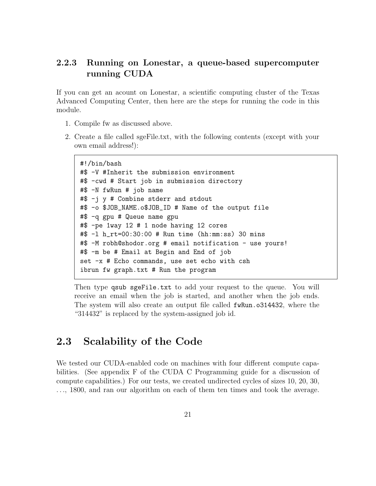### <span id="page-21-0"></span>2.2.3 Running on Lonestar, a queue-based supercomputer running CUDA

If you can get an acount on Lonestar, a scientific computing cluster of the Texas Advanced Computing Center, then here are the steps for running the code in this module.

- 1. Compile fw as discussed above.
- 2. Create a file called sgeFile.txt, with the following contents (except with your own email address!):

```
#!/bin/bash
#$ -V #Inherit the submission environment
#$ -cwd # Start job in submission directory
#$ -N fwRun # job name
#$ -j y # Combine stderr and stdout
#$ -o $JOB_NAME.o$JOB_ID # Name of the output file
#$ -q gpu # Queue name gpu
#$ -pe 1way 12 # 1 node having 12 cores
#$ -l h_rt=00:30:00 # Run time (hh:mm:ss) 30 mins
#$ -M robh@shodor.org # email notification - use yours!
#$ -m be # Email at Begin and End of job
set -x # Echo commands, use set echo with csh
ibrun fw graph.txt # Run the program
```
Then type qsub sgeFile.txt to add your request to the queue. You will receive an email when the job is started, and another when the job ends. The system will also create an output file called  $f$ wRun.o314432, where the "314432" is replaced by the system-assigned job id.

## <span id="page-21-1"></span>2.3 Scalability of the Code

We tested our CUDA-enabled code on machines with four different compute capabilities. (See appendix F of the CUDA C Programming guide for a discussion of compute capabilities.) For our tests, we created undirected cycles of sizes 10, 20, 30, . . ., 1800, and ran our algorithm on each of them ten times and took the average.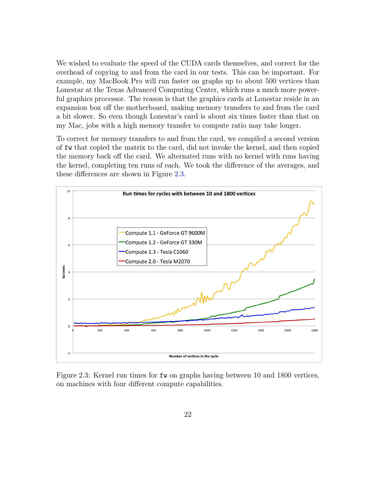We wished to evaluate the speed of the CUDA cards themselves, and correct for the overhead of copying to and from the card in our tests. This can be important. For example, my MacBook Pro will run faster on graphs up to about 500 vertices than Lonestar at the Texas Advanced Computing Center, which runs a much more powerful graphics processor. The reason is that the graphics cards at Lonestar reside in an expansion box off the motherboard, making memory transfers to and from the card a bit slower. So even though Lonestar's card is about six times faster than that on my Mac, jobs with a high memory transfer to compute ratio may take longer.

To correct for memory transfers to and from the card, we compiled a second version of fw that copied the matrix to the card, did not invoke the kernel, and then copied the memory back off the card. We alternated runs with no kernel with runs having the kernel, completing ten runs of each. We took the difference of the averages, and these differences are shown in Figure [2.3.](#page-22-0)



<span id="page-22-0"></span>Figure 2.3: Kernel run times for fw on graphs having between 10 and 1800 vertices, on machines with four different compute capabilities.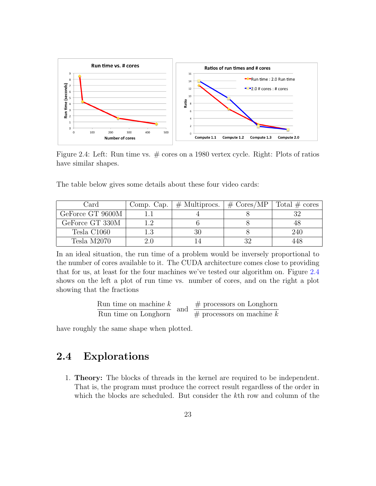

<span id="page-23-1"></span>Figure 2.4: Left: Run time vs. # cores on a 1980 vertex cycle. Right: Plots of ratios have similar shapes.

The table below gives some details about these four video cards:

| Card             | Comp. Cap. | $\parallel \#$ Multiprocs. | $\# \text{ Cores/MP}$ | Total $\#$ cores |
|------------------|------------|----------------------------|-----------------------|------------------|
| GeForce GT 9600M |            |                            |                       |                  |
| GeForce GT 330M  |            |                            |                       |                  |
| Tesla C1060      |            |                            |                       | 240              |
| Tesla M2070      |            |                            |                       | 448.             |

In an ideal situation, the run time of a problem would be inversely proportional to the number of cores available to it. The CUDA architecture comes close to providing that for us, at least for the four machines we've tested our algorithm on. Figure [2.4](#page-23-1) shows on the left a plot of run time vs. number of cores, and on the right a plot showing that the fractions

Run time on machine 
$$
k
$$
 and  $\#$  processors on Longhorn  
Run time on Longhorn

have roughly the same shape when plotted.

## <span id="page-23-0"></span>2.4 Explorations

1. Theory: The blocks of threads in the kernel are required to be independent. That is, the program must produce the correct result regardless of the order in which the blocks are scheduled. But consider the kth row and column of the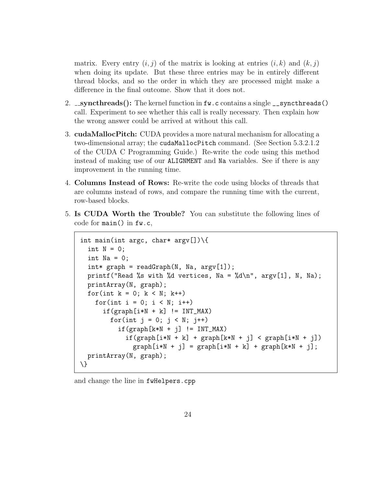matrix. Every entry  $(i, j)$  of the matrix is looking at entries  $(i, k)$  and  $(k, j)$ when doing its update. But these three entries may be in entirely different thread blocks, and so the order in which they are processed might make a difference in the final outcome. Show that it does not.

- 2.  $\text{\textendash}{2}$  syncthreads(): The kernel function in fw.c contains a single  $\text{\textendash}{2}$  syncthreads() call. Experiment to see whether this call is really necessary. Then explain how the wrong answer could be arrived at without this call.
- 3. cudaMallocPitch: CUDA provides a more natural mechanism for allocating a two-dimensional array; the cudaMallocPitch command. (See Section 5.3.2.1.2 of the CUDA C Programming Guide.) Re-write the code using this method instead of making use of our ALIGNMENT and Na variables. See if there is any improvement in the running time.
- 4. Columns Instead of Rows: Re-write the code using blocks of threads that are columns instead of rows, and compare the running time with the current, row-based blocks.
- 5. Is CUDA Worth the Trouble? You can substitute the following lines of code for main() in fw.c,

```
int main(int argc, char* argv[])\qquad{
  int N = 0;
  int Na = 0;
  int* graph = readGraph(N, Na, argy[1]);
  printf("Read %s with %d vertices, Na = %d\n", argv[1], N, Na);
 printArray(N, graph);
  for(int k = 0; k < N; k++)
    for(int i = 0; i < N; i++)if(graph[i*N + k] != INT_MAX)for(int j = 0; j < N; j++)if(graph[k*N + j] != INT_MAX)if(graph[i*N + k] + graph[k*N + j] < graph[i*N + j])graph[i*N + j] = graph[i*N + k] + graph[k*N + j];printArray(N, graph);
\}
```
and change the line in fwHelpers.cpp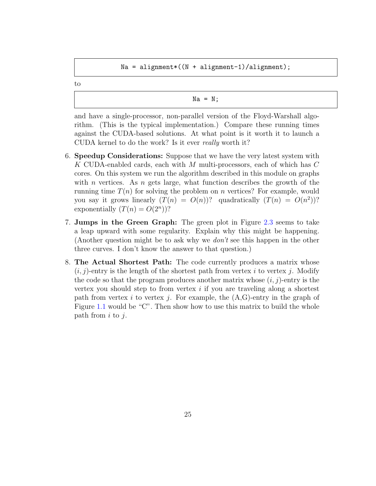$Na = alignment * ((N + alignment - 1) / alignment);$ 

to

$$
\mathtt{Na} = \mathtt{N};
$$

and have a single-processor, non-parallel version of the Floyd-Warshall algorithm. (This is the typical implementation.) Compare these running times against the CUDA-based solutions. At what point is it worth it to launch a CUDA kernel to do the work? Is it ever really worth it?

- 6. Speedup Considerations: Suppose that we have the very latest system with K CUDA-enabled cards, each with M multi-processors, each of which has C cores. On this system we run the algorithm described in this module on graphs with n vertices. As n gets large, what function describes the growth of the running time  $T(n)$  for solving the problem on n vertices? For example, would you say it grows linearly  $(T(n) = O(n))$ ? quadratically  $(T(n) = O(n^2))$ ? exponentially  $(T(n) = O(2^n))$ ?
- 7. Jumps in the Green Graph: The green plot in Figure [2.3](#page-22-0) seems to take a leap upward with some regularity. Explain why this might be happening. (Another question might be to ask why we  $don't$  see this happen in the other three curves. I don't know the answer to that question.)
- 8. The Actual Shortest Path: The code currently produces a matrix whose  $(i, j)$ -entry is the length of the shortest path from vertex i to vertex j. Modify the code so that the program produces another matrix whose  $(i, j)$ -entry is the vertex you should step to from vertex  $i$  if you are traveling along a shortest path from vertex i to vertex i. For example, the  $(A,G)$ -entry in the graph of Figure [1.1](#page-3-0) would be "C". Then show how to use this matrix to build the whole path from  $i$  to  $j$ .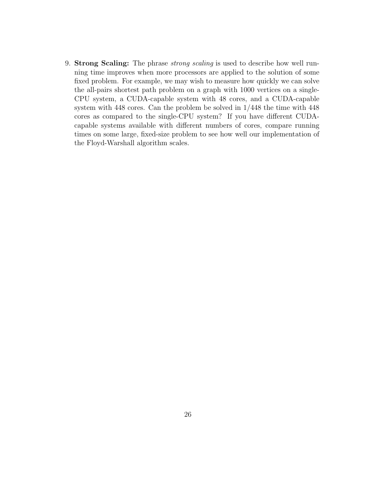9. Strong Scaling: The phrase *strong scaling* is used to describe how well running time improves when more processors are applied to the solution of some fixed problem. For example, we may wish to measure how quickly we can solve the all-pairs shortest path problem on a graph with 1000 vertices on a single-CPU system, a CUDA-capable system with 48 cores, and a CUDA-capable system with 448 cores. Can the problem be solved in 1/448 the time with 448 cores as compared to the single-CPU system? If you have different CUDAcapable systems available with different numbers of cores, compare running times on some large, fixed-size problem to see how well our implementation of the Floyd-Warshall algorithm scales.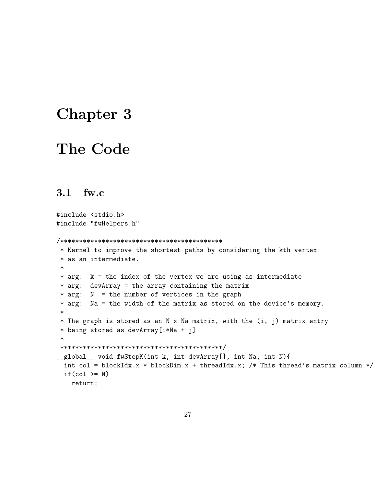## <span id="page-27-0"></span>Chapter 3

## The Code

### <span id="page-27-1"></span>3.1 fw.c

```
#include <stdio.h>
#include "fwHelpers.h"
/*******************************************
* Kernel to improve the shortest paths by considering the kth vertex
* as an intermediate.
 *
* arg: k = the index of the vertex we are using as intermediate
* arg: devArray = the array containing the matrix
* arg: N = the number of vertices in the graph
* arg: Na = the width of the matrix as stored on the device's memory.
*
* The graph is stored as an N x Na matrix, with the (i, j) matrix entry
* being stored as devArray[i*Na + j]
*
*******************************************/
__global__ void fwStepK(int k, int devArray[], int Na, int N){
 int col = blockIdx.x * blockDim.x + threadIdx.x; /* This thread's matrix column */
 if(col \geq N)return;
```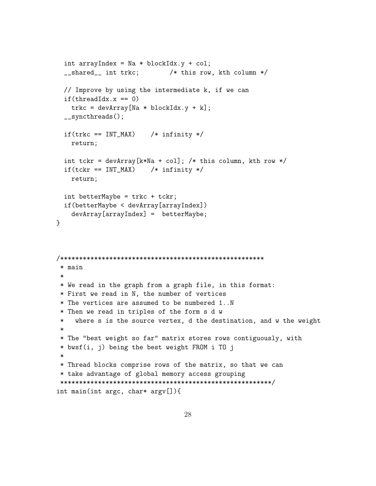```
int arrayIndex = Na * blockIdx.y + col;
  __shared__ int trkc; /* this row, kth column */
  // Improve by using the intermediate k, if we can
  if(threadIdx.x == 0)trkc = devArray[Na * blockIdx.y + k];__syncthreads();
  if(true == INT_MAX) /* infinity */
   return;
  int tckr = devArray[k*Na + col]; /* this column, kth row */
  if(tckr == INT_MAX) /* infinity */
    return;
  int betterMaybe = trkc + tckr;
  if(betterMaybe < devArray[arrayIndex])
    devArray[arrayIndex] = betterMaybe;
}
/******************************************************
 * main
 *
* We read in the graph from a graph file, in this format:
 * First we read in N, the number of vertices
 * The vertices are assumed to be numbered 1..N
 * Then we read in triples of the form s d w
 * where s is the source vertex, d the destination, and w the weight
 *
 * The "best weight so far" matrix stores rows contiguously, with
 * bwsf(i, j) being the best weight FROM i TO j
 *
 * Thread blocks comprise rows of the matrix, so that we can
 * take advantage of global memory access grouping
 ********************************************************/
int main(int argc, char* argv[]){
```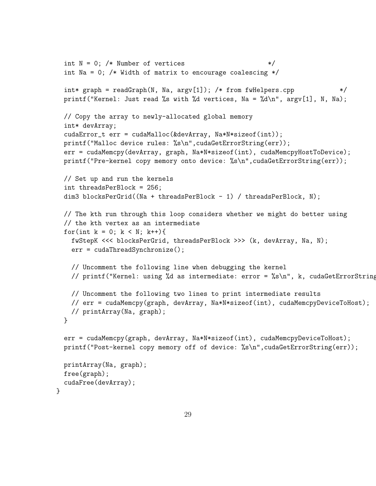```
int N = 0; /* Number of vertices *int Na = 0; /* Width of matrix to encourage coalescing */int* graph = readGraph(N, Na, \arg(y[1]); /* from fwHelpers.cpp */
printf("Kernel: Just read %s with %d vertices, Na = %d\n", argv[1], N, Na);
// Copy the array to newly-allocated global memory
int* devArray;
cudaError_t err = cudaMalloc(&devArray, Na*N*sizeof(int));
printf("Malloc device rules: %s\n", cudaGetErrorString(err));
err = cudaMemcpy(devArray, graph, Na*N*sizeof(int), cudaMemcpyHostToDevice);
printf("Pre-kernel copy memory onto device: %s\n",cudaGetErrorString(err));
// Set up and run the kernels
int threadsPerBlock = 256;
dim3 blocksPerGrid((Na + threadsPerBlock - 1) / threadsPerBlock, N);
// The kth run through this loop considers whether we might do better using
// the kth vertex as an intermediate
for(int k = 0; k < N; k++){
  fwStepK <<< blocksPerGrid, threadsPerBlock >>> (k, devArray, Na, N);
  err = cudaThreadSynchronize();
  // Uncomment the following line when debugging the kernel
  // printf("Kernel: using %d as intermediate: error = %s\n", k, cudaGetErrorString
  // Uncomment the following two lines to print intermediate results
  // err = cudaMemcpy(graph, devArray, Na*N*sizeof(int), cudaMemcpyDeviceToHost);
  // printArray(Na, graph);
}
err = cudaMemcpy(graph, devArray, Na*N*sizeof(int), cudaMemcpyDeviceToHost);
printf("Post-kernel copy memory off of device: %s\n", cudaGetErrorString(err));
printArray(Na, graph);
free(graph);
cudaFree(devArray);
```
}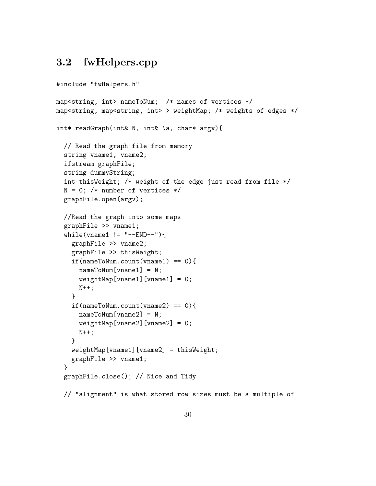### <span id="page-30-0"></span>3.2 fwHelpers.cpp

```
#include "fwHelpers.h"
map<string, int> nameToNum; /* names of vertices */
map<string, map<string, int> > weightMap; /* weights of edges */
int* readGraph(int& N, int& Na, char* argv){
  // Read the graph file from memory
  string vname1, vname2;
  ifstream graphFile;
  string dummyString;
  int thisWeight; /* weight of the edge just read from file */
  N = 0; /* number of vertices */
  graphFile.open(argv);
  //Read the graph into some maps
  graphFile >> vname1;
  while(vname1 != "--END--"){
    graphFile >> vname2;
    graphFile >> thisWeight;
    if(nameToNum.count(vname1) == 0){
      nameToNum[vname1] = N;
      weightMap[vanen1][vanen1] = 0;N++;
    }
    if(nameToNum.count(vname2) == 0){
      nameToNum[vname2] = N;
     weightMap[vname2][vname2] = 0;
     N++;}
    weightMap[vname1][vname2] = thisWeight;
    graphFile >> vname1;
  }
  graphFile.close(); // Nice and Tidy
  // "alignment" is what stored row sizes must be a multiple of
```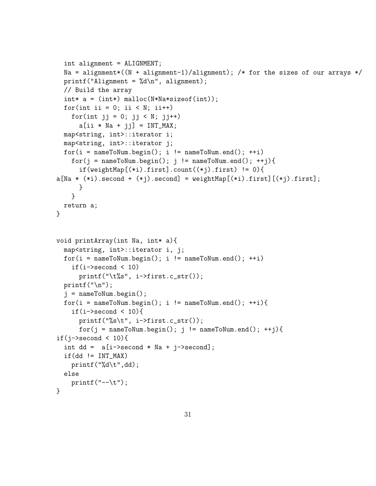```
int alignment = ALIGNMENT;
 Na = alignment*(N + alignment-1)/alignment); /* for the sizes of our arrays */
 printf("Alignment = \sqrt{d}), alignment);
 // Build the array
 int* a = (int*) malloc(N*Na*sizeof(int));
 for(int ii = 0; ii < N; ii++)
   for(int jj = 0; jj < N; jj++)
      a[i i * Na + jj] = INT_MAX;map<string, int>::iterator i;
 map<string, int>::iterator j;
 for(i = nameToNum.begin(); i != nameToNum.end(); ++i)for(j = nameToNum.begin(); j != nameToNum.end(); ++j){
      if(weightMap[(*i).first].count((*j).first) != 0){
a[Na * (*i).second + (*j).second] = weightMap[(*i).first][(*)).first];}
   }
 return a;
}
void printArray(int Na, int* a){
 map<string, int>::iterator i, j;
 for(i = nameToNum.begin(); i != nameToNum.end(); ++i)if(i->second < 10)
      print('\\t%s", i->first.c_str());
 printf("n");
 j = nameToNum.begin();
 for(i = nameToNum.begin(); i != nameToNum.end(); ++i){
    if(i->second (10){
      printf("%s\t", i->first.c_str());
      for(j = nameToNum.begin(); j != nameToNum.end(); ++j){
if(i->second < 10){
  int dd = a[i->second * Na + j->second];if(dd!=INT_MAX)printf("%d\t",dd);
 else
   print(f'--\t),}
```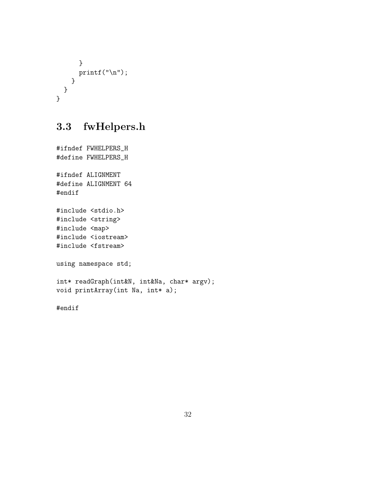```
}
      printf("\n'\n');
    }
  }
}
```
## <span id="page-32-0"></span>3.3 fwHelpers.h

```
#ifndef FWHELPERS_H
#define FWHELPERS_H
#ifndef ALIGNMENT
#define ALIGNMENT 64
#endif
#include <stdio.h>
#include <string>
#include <map>
#include <iostream>
#include <fstream>
using namespace std;
int* readGraph(int&N, int&Na, char* argv);
void printArray(int Na, int* a);
```
#endif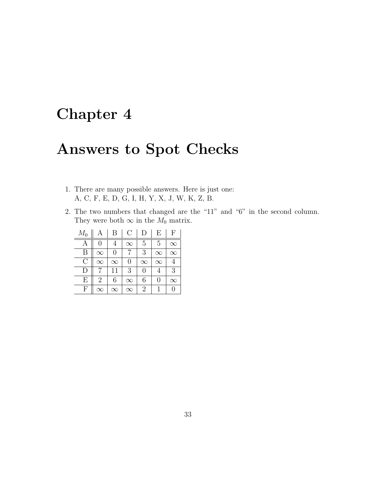# <span id="page-33-0"></span>Chapter 4

# Answers to Spot Checks

- 1. There are many possible answers. Here is just one: A, C, F, E, D, G, I, H, Y, X, J, W, K, Z, B.
- 2. The two numbers that changed are the "11" and "6" in the second column. They were both  $\infty$  in the  $M_0$  matrix.

| $M_0$     | А         | В        | C        | D        | Ε        | F        |
|-----------|-----------|----------|----------|----------|----------|----------|
| А         |           |          | $\infty$ | 5        | 5        | $\infty$ |
| В         | $\infty$  | 0        |          | 3        | $\infty$ | $\infty$ |
| С         | $\infty$  | $\infty$ | 0        | $\infty$ | $\infty$ |          |
| $\vert$ ) |           | 11       | 3        | 0        |          | 3        |
| Е         | 2         | 6        | $\infty$ | 6        | 0        | $\infty$ |
| F         | $\propto$ | $\infty$ | $\infty$ | 2        |          |          |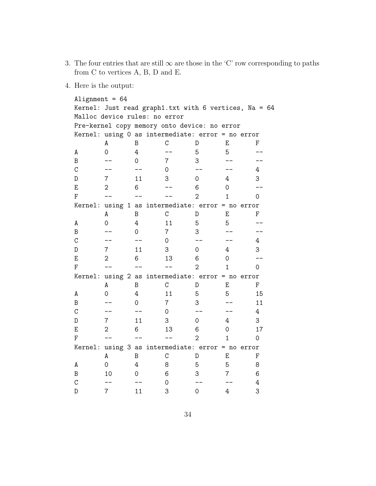- 3. The four entries that are still  $\infty$  are those in the 'C' row corresponding to paths from C to vertices A, B, D and E.
- 4. Here is the output:

```
Alignment = 64Kernel: Just read graph1.txt with 6 vertices, Na = 64
Malloc device rules: no error
Pre-kernel copy memory onto device: no error
Kernel: using 0 as intermediate: error = no error
   A B C D E F
A 0 4 -- 5 5 --
B -- 0 7 3 -- --
C -- -- 0 -- -- 4
D 7 11 3 0 4 3
E 2 6 -- 6 0 --
F -- -- -- 2 1 0
Kernel: using 1 as intermediate: error = no error
   A B C D E F
A 0 4 11 5 5 --
B -- 0 7 3 -- --
C -- -- 0 -- -- 4
D 7 11 3 0 4 3
E 2 6 13 6 0 --
F -- -- -- 2 1 0
Kernel: using 2 as intermediate: error = no error
   A B C D E F
A 0 4 11 5 5 15
B -- 0 7 3 -- 11
C -- -- 0 -- -- 4
D 7 11 3 0 4 3
E 2 6 13 6 0 17
F -- -- -- 2 1 0
Kernel: using 3 as intermediate: error = no error
   A B C D E F
A 0 4 8 5 5 8
B 10 0 6 3 7 6
C -- -- 0 -- -- 4
D 7 11 3 0 4 3
```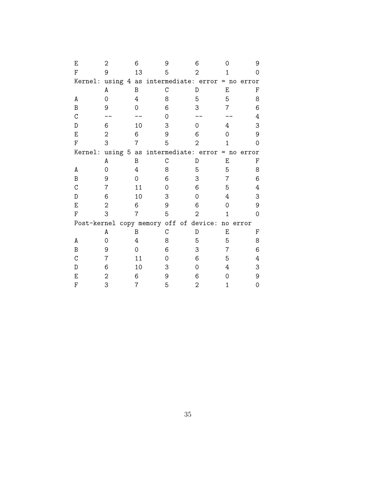| Ε | 2              | 6                                      | 9 | 6             |                | 9     |
|---|----------------|----------------------------------------|---|---------------|----------------|-------|
| F | 9              | 13                                     | 5 | $\mathcal{D}$ |                |       |
|   |                | Kernel: using 4 as intermediate: error |   |               | $= no$         | error |
|   | A              | B                                      | C | D             | E              | F     |
| A | 0              | 4                                      | 8 | 5             | 5              | 8     |
| B | 9              | 0                                      | 6 | 3             | $\overline{7}$ | 6     |
| C |                |                                        | 0 |               |                | 4     |
| D | 6              | 10                                     | 3 | 0             | 4              | З     |
| E | $\sqrt{2}$     | 6                                      | 9 | 6             | 0              | 9     |
| F | 3              | 7                                      | 5 | 2             | 1              | 0     |
|   |                | Kernel: using 5 as intermediate: error |   |               | $= no$         | error |
|   | A              | B                                      | C | D             | Е              | F     |
| А | 0              | 4                                      | 8 | 5             | 5              | 8     |
| B | 9              | 0                                      | 6 | 3             | 7              | 6     |
| C | 7              | 11                                     | 0 | 6             | 5              | 4     |
| D | 6              | 10                                     | 3 | 0             | 4              | З     |
| E | 2              | 6                                      | 9 | 6             | Ω              | 9     |
| F | 3              | 7                                      | 5 | 2             | 1              | 0     |
|   |                | Post-kernel copy memory off of device: |   |               | ${\tt no}$     | error |
|   | A              | B                                      | C | D             | E              | F     |
| А | 0              | 4                                      | 8 | 5             | 5              | 8     |
| B | 9              | $\Omega$                               | 6 | 3             | 7              | 6     |
| C | 7              | 11                                     | 0 | 6             | 5              | 4     |
| D | 6              | 10                                     | 3 | 0             | 4              | З     |
| Ε | $\overline{2}$ | 6                                      | 9 | 6             | 0              | 9     |
| F | 3              | 7                                      | 5 | 2             | 1              | 0     |